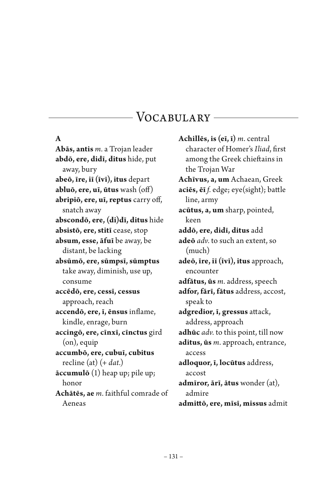# VOCABULARY

## **A**

**Abās, antis** *m.* a Trojan leader **abdō, ere, didī, ditus** hide, put away, bury **abeō, īre, iī (īvī), itus** depart **abluō, ere, uī, ūtus** wash (off ) abripiō, ere, uī, reptus carry off, snatch away **abscondō, ere, (di)dī, ditus** hide **absistō, ere, stitī** cease, stop **absum, esse, āfuī** be away, be distant, be lacking **absūmō, ere, sūmpsī, sūmptus** take away, diminish, use up, consume **accēdō, ere, cessī, cessus** approach, reach accendō, ere, *i*, ēnsus inflame, kindle, enrage, burn **accingō, ere, cīnxī, cīnctus** gird (on), equip **accumbō, ere, cubuī, cubitus** recline (at) (+ *dat.*) **āccumulō** (1) heap up; pile up; honor **Achātēs, ae** *m.* faithful comrade of Aeneas

**Achillēs, is (eī, ī)** *m*. central character of Homer's Iliad, first among the Greek chieftains in the Trojan War **Achīvus, a, um** Achaean, Greek **aciēs, ēī** *f.* edge; eye(sight); batt le line, army **acūtus, a, um** sharp, pointed, keen **addō, ere, didī, ditus** add **adeō** *adv.* to such an extent, so (much) **adeō, īre, iī (īvī), itus** approach, encounter **adfātus, ūs** *m.* address, speech **adfor, fārī, fātus** address, accost, speak to adgredior, i, gressus attack, address, approach **adhūc** *adv.* to this point, till now **aditus, ūs** *m*. approach, entrance, access **adloquor, ī, locūtus** address, accost **admīror, ārī, ātus** wonder (at), admire **admitt ō, ere, mīsī, missus** admit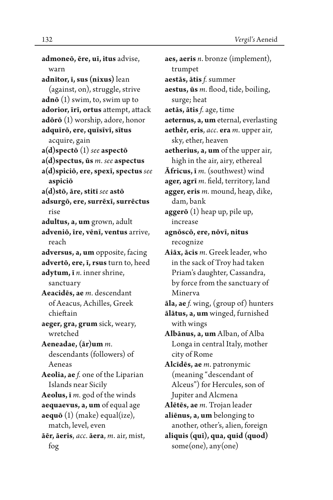**admoneō, ēre, uī, itus** advise, warn **adnītor, ī, sus (nixus)** lean (against, on), struggle, strive **adnō** (1) swim, to, swim up to **adorior, īrī, ortus** attempt, attack **adōrō** (1) worship, adore, honor **adquīrō, ere, quīsīvī, sītus** acquire, gain **a(d)spectō** (1) *see* **aspectō a(d)spectus, ūs** *m. see* **aspectus a(d)spiciō, ere, spexī, spectus***see* **aspiciō a(d)stō, āre, stitī** *see* **astō adsurgō, ere, surrēxī, surrēctus** rise **adultus, a, um** grown, adult **adveniō, īre, vēnī, ventus** arrive, reach **adversus, a, um** opposite, facing **advertō, ere, ī, rsus** turn to, heed **adytum, ī** *n.* inner shrine, sanctuary **Aeacidēs, ae** *m.* descendant of Aeacus, Achilles, Greek chieft ain **aeger, gra, grum** sick, weary, wretched **Aeneadae, (ār)um** *m.*  descendants (followers) of Aeneas **Aeolia, ae** *f.* one of the Liparian Islands near Sicily **Aeolus, ī** *m.* god of the winds **aequaevus, a, um** of equal age **aequō** (1) (make) equal(ize), match, level, even **āēr, āeris**, *acc.* **āera**, *m*. air, mist, fog

**aes, aeris** *n*. bronze (implement), trumpet **aestās, ātis***f.* summer aestus, ūs *m*. flood, tide, boiling, surge; heat **aetās, ātis***f.* age, time **aeternus, a, um** eternal, everlasting **aethēr, eris**, *acc*. **era** *m*. upper air, sky, ether, heaven **aetherius, a, um** of the upper air, high in the air, airy, ethereal **Āfricus, ī** *m.* (southwest) wind **ager, agrī** *m*. field, territory, land **agger, eris** *m.* mound, heap, dike, dam, bank **aggerō** (1) heap up, pile up, increase **agnōscō, ere, nōvī, nitus** recognize **Aiāx, ācis** *m.* Greek leader, who in the sack of Troy had taken Priam's daughter, Cassandra, by force from the sanctuary of Minerva **āla, ae** *f.* wing, (group of) hunters **ālātus, a, um** winged, furnished with wings **Albānus, a, um** Alban, of Alba Longa in central Italy, mother city of Rome **Alcīdēs, ae** *m*. patronymic (meaning "descendant of Alceus") for Hercules, son of Jupiter and Alcmena **Alētēs, ae** *m.* Trojan leader **aliēnus, a, um** belonging to another, other's, alien, foreign **aliquis (quī), qua, quid (quod)** some(one), any(one)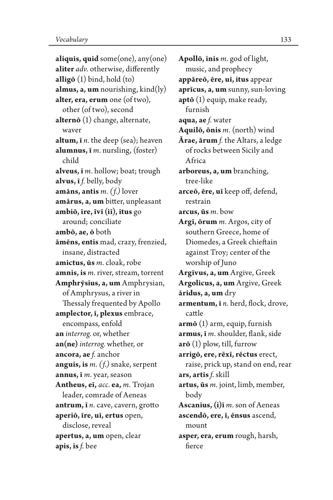**aliquis, quid** some(one), any(one) **aliter** *adv*. otherwise, differently **alligō** (1) bind, hold (to) **almus, a, um** nourishing, kind(ly) **alter, era, erum** one (of two), other (of two), second **alternō** (1) change, alternate, waver **altum, ī** *n.* the deep (sea); heaven **alumnus, ī** *m.* nursling, (foster) child **alveus, ī** *m*. hollow; boat; trough **alvus, ī** *f.* belly, body **amāns, antis** *m. (f.)* lover amārus, a, um bitter, unpleasant **ambiō, īre, īvī (iī), itus** go around; conciliate **ambō, ae, ō** both **āmēns, entis** mad, crazy, frenzied, insane, distracted **amictus, ūs** *m.* cloak, robe **amnis, is** *m.* river, stream, torrent **Amphrȳsius, a, um** Amphrysian, of Amphrysus, a river in Thessaly frequented by Apollo **amplector, ī, plexus** embrace, encompass, enfold **an** *interrog.* or, whether **an(ne)***interrog.* whether, or **ancora, ae** *f.* anchor **anguis, is** *m. (f.)* snake, serpent **annus, ī** *m.* year, season **Antheus, eī,** *acc*. **ea,** *m.* Trojan leader, comrade of Aeneas antrum, i n. cave, cavern, grotto **aperiō, īre, uī, ertus** open, disclose, reveal **apertus, a, um** open, clear **apis, is***f.* bee

**Apollō, inis** *m.* god of light, music, and prophecy **appāreō, ēre, uī, itus** appear **aprīcus, a, um** sunny, sun-loving **aptō** (1) equip, make ready, furnish **aqua, ae** *f.* water **Aquilō, ōnis** *m.* (north) wind **Ārae, ārum** *f.* the Altars, a ledge of rocks between Sicily and Africa **arboreus, a, um** branching, tree-like **arceō, ēre, uī** keep off, defend, restrain **arcus, ūs** *m.* bow **Argī, ōrum** *m.* Argos, city of southern Greece, home of Diomedes, a Greek chieftain against Troy; center of the worship of Juno **Argīvus, a, um** Argive, Greek **Argolicus, a, um** Argive, Greek **āridus, a, um** dry armentum, i *n*. herd, flock, drove, catt le **armō** (1) arm, equip, furnish armus, ī *m.* shoulder, flank, side **arō** (1) plow, till, furrow **arrigō, ere, rēxī, rēctus** erect, raise, prick up, stand on end, rear **ars, artis***f*. skill **artus, ūs** *m.* joint, limb, member, body **Ascanius, (i)ī** *m.* son of Aeneas **ascendō, ere, ī, ēnsus** ascend, mount **asper, era, erum** rough, harsh, fierce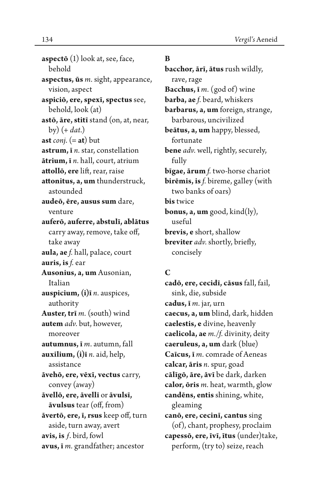**aspectō** (1) look at, see, face, behold **aspectus, ūs** *m.* sight, appearance, vision, aspect **aspiciō, ere, spexī, spectus** see, behold, look (at) **astō, āre, stitī** stand (on, at, near, by) (*+ dat*.) **ast** *conj*. (= **at**) but **astrum, ī** *n.* star, constellation **ātrium, ī** *n.* hall, court, atrium attollō, ere lift, rear, raise **att onitus, a, um** thunderstruck, astounded **audeō, ēre, ausussum** dare, venture **auferō, auferre, abstulī, ablātus** carry away, remove, take off, take away **aula, ae** *f.* hall, palace, court **auris, is***f.* ear **Ausonius, a, um** Ausonian, Italian **auspicium, (i)ī** *n.* auspices, authority **Auster, trī** *m.* (south) wind **autem** *adv.* but, however, moreover **autumnus, ī** *m*. autumn, fall **auxilium, (i)ī** *n.* aid, help, assistance **āvehō, ere, vēxī, vectus** carry, convey (away) **āvellō, ere, āvellī** or **āvulsī, āvulsus** tear (off, from)  $\bar{a}$ vertō, ere, ī, rsus keep off, turn aside, turn away, avert **avis, is** *ƒ*. bird, fowl **avus, ī** *m.* grandfather; ancestor

#### **B**

**bacchor, ārī, ātus** rush wildly, rave, rage **Bacchus, ī** *m.* (god of) wine **barba, ae** *f.* beard, whiskers **barbarus, a, um** foreign, strange, barbarous, uncivilized **beātus, a, um** happy, blessed, fortunate **bene** *adv.* well, rightly, securely, fully **bīgae, ārum** *f.* two-horse chariot **birēmis, is***f.* bireme, galley (with two banks of oars) **bis** twice **bonus, a, um** good, kind(ly), useful **brevis, e** short, shallow **breviter** *adv*. shortly, briefly, concisely

## **C**

**cadō, ere, cecidī, cāsus** fall, fail, sink, die, subside **cadus, ī** *m.* jar, urn **caecus, a, um** blind, dark, hidden **caelestis, e** divine, heavenly **caelicola, ae** *m.*/*f.* divinity, deity **caeruleus, a, um** dark (blue) **Caīcus, ī** *m.* comrade of Aeneas **calcar, āris** *n.* spur, goad **cālīgō, āre, āvī** be dark, darken **calor, ōris** *m.* heat, warmth, glow **candēns, entis** shining, white, gleaming **canō, ere, cecinī, cantus** sing (of), chant, prophesy, proclaim

**capessō, ere, īvī, ītus** (under)take, perform, (try to) seize, reach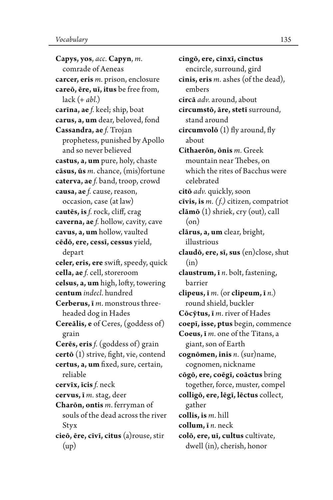**Capys, yos**, *acc.* **Capyn**, *m.*  comrade of Aeneas **carcer, eris** *m.* prison, enclosure **careō, ēre, uī, itus** be free from, lack (+ *abl.*) **carīna, ae** *f.* keel; ship, boat **carus, a, um** dear, beloved, fond **Cassandra, ae** *f.* Trojan prophetess, punished by Apollo and so never believed **castus, a, um** pure, holy, chaste **cāsus, ūs** *m.* chance, (mis)fortune **caterva, ae** *f.* band, troop, crowd **causa, ae** *f.* cause, reason, occasion, case (at law) **cautēs, is** *f.* rock, cliff, crag **caverna, ae** *f.* hollow, cavity, cave **cavus, a, um** hollow, vaulted **cēdō, ere, cessī, cessus** yield, depart **celer, eris, ere** swift, speedy, quick **cella, ae** *f.* cell, storeroom **celsus, a, um** high, lofty, towering **centum** *indecl.* hundred **Cerberus, ī** *m*. monstrous threeheaded dog in Hades **Cereālis, e** of Ceres, (goddess of) grain **Cerēs, eris***f.* (goddess of) grain **certō** (1) strive, fight, vie, contend certus, a, um fixed, sure, certain, reliable **cervīx, īcis***f.* neck **cervus, ī** *m.* stag, deer **Charōn, ontis** *m*. ferryman of souls of the dead across the river Styx **cieō, ēre, cīvī, citus** (a)rouse, stir (up)

**cingō, ere, cīnxī, cīnctus** encircle, surround, gird **cinis, eris** *m.* ashes (of the dead), embers **circā** *adv.* around, about **circumstō, āre, stetī** surround, stand around **circumvolo** (1) fly around, fly about **Cithaerōn, ōnis** *m.* Greek mountain near Thebes, on which the rites of Bacchus were celebrated **citō** *adv.* quickly, soon **cīvis, is** *m. (f.)* citizen, compatriot **clāmō** (1) shriek, cry (out), call (on) **clārus, a, um** clear, bright, illustrious **claudō, ere, sī, sus** (en)close, shut (in) **claustrum, ī** *n*. bolt, fastening, barrier **clipeus, ī** *m.* (or **clipeum, ī** *n.*) round shield, buckler **Cōcȳtus, ī** *m*. river of Hades **coepī, isse, ptus** begin, commence **Coeus, ī** *m.* one of the Titans, a giant, son of Earth **cognōmen, inis** *n.* (sur)name, cognomen, nickname **cōgō, ere, coēgī, coāctus** bring together, force, muster, compel **colligō, ere, lēgī, lēctus** collect, gather **collis, is** *m.* hill **collum, ī** *n.* neck **colō, ere, uī, cultus** cultivate, dwell (in), cherish, honor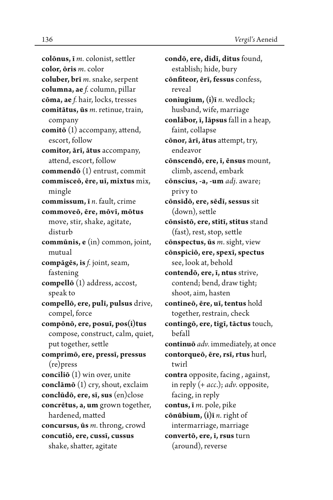**colōnus, ī** *m.* colonist, settler **color, ōris** *m*. color **coluber, brī** *m.* snake, serpent **columna, ae** *f.* column, pillar **cōma, ae** *f.* hair, locks, tresses **comitātus, ūs** *m.* retinue, train, company **comito** (1) accompany, attend, escort, follow **comitor, ārī, ātus** accompany, attend, escort, follow **commendō** (1) entrust, commit **commisceō, ēre, uī, mixtus** mix, mingle **commissum, ī** *n.* fault, crime **commoveō, ēre, mōvī, mōtus** move, stir, shake, agitate, disturb **commūnis, e** (in) common, joint, mutual **compāgēs, is***f.* joint, seam, fastening **compellō** (1) address, accost, speak to **compellō, ere, pulī, pulsus** drive, compel, force **compōnō, ere, posuī, pos(i)tus** compose, construct, calm, quiet, put together, settle **comprimō, ere, pressī, pressus** (re)press **conciliō** (1) win over, unite **conclāmō** (1) cry, shout, exclaim **conclūdō, ere, sī, sus** (en)close **concrētus, a, um** grown together, hardened, matted **concursus, ūs** *m.* throng, crowd **concutiō, ere, cussī, cussus** shake, shatter, agitate

**condō, ere, didī, ditus** found, establish; hide, bury **cōnfi teor, ērī, fessus** confess, reveal **coniugium, (i)ī** *n.* wedlock; husband, wife, marriage **conlābor, ī, lāpsus** fall in a heap, faint, collapse cōnor, ārī, ātus attempt, try, endeavor **cōnscendō, ere, ī, ēnsus** mount, climb, ascend, embark **cōnscius, -a, -um** *adj*. aware; privy to **cōnsīdō, ere, sēdī, sessus** sit (down), settle **cōnsistō, ere, stitī, stitus** stand (fast), rest, stop, sett le **cōnspectus, ūs** *m*. sight, view **cōnspiciō, ere, spexī, spectus** see, look at, behold **contendō, ere, ī, ntus** strive, contend; bend, draw tight; shoot, aim, hasten **contineō, ēre, uī, tentus** hold together, restrain, check **contingō, ere, tigī, tāctus** touch, befall **continuō** *adv.* immediately, at once **contorqueō, ēre, rsī, rtus** hurl, twirl **contra** opposite, facing , against, in reply (+ *acc*.); *adv.* opposite, facing, in reply **contus, ī** *m*. pole, pike **cōnūbium, (i)ī** *n.* right of intermarriage, marriage **convertō, ere, ī, rsus** turn (around), reverse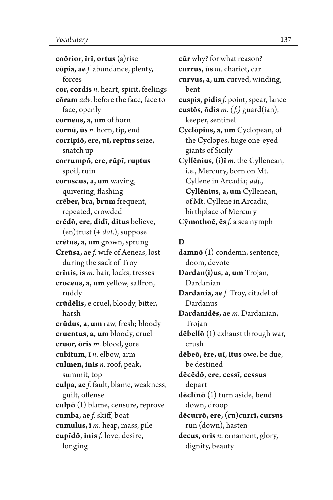**coōrior, īrī, ortus** (a)rise **cōpia, ae** *f.* abundance, plenty, forces **cor, cordis** *n.* heart, spirit, feelings **cōram** *adv.* before the face, face to face, openly **corneus, a, um** of horn **cornū, ūs** *n.* horn, tip, end **corripiō, ere, uī, reptus** seize, snatch up **corrumpō, ere, rūpī, ruptus** spoil, ruin **coruscus, a, um** waving, quivering, flashing **crēber, bra, brum** frequent, repeated, crowded **crēdō, ere, didī, ditus** believe, (en)trust (+ *dat*.), suppose **crētus, a, um** grown, sprung **Creūsa, ae** *f.* wife of Aeneas, lost during the sack of Troy **crīnis, is** *m.* hair, locks, tresses **croceus, a, um** yellow, saffron, ruddy crūdēlis, e cruel, bloody, bitter, harsh **crūdus, a, um** raw, fresh; bloody **cruentus, a, um** bloody, cruel **cruor, ōris** *m.* blood, gore **cubitum, ī** *n.* elbow, arm **culmen, inis** *n.* roof, peak, summit, top **culpa, ae** *f.* fault, blame, weakness, guilt, offense **culpō** (1) blame, censure, reprove **cumba, ae** *f*. skiff, boat **cumulus, ī** *m.* heap, mass, pile **cupīdō, inis** *f.* love, desire, longing

**cūr** why? for what reason? **currus, ūs** *m.* chariot, car **curvus, a, um** curved, winding, bent **cuspis, pidis***f.* point, spear, lance **custōs, ōdis** *m. (f.)* guard(ian), keeper, sentinel **Cyclōpius, a, um** Cyclopean, of the Cyclopes, huge one-eyed giants of Sicily **Cyllēnius, (i)ī** *m.* the Cyllenean, i.e., Mercury, born on Mt. Cyllene in Arcadia; *adj*., **Cyllēnius, a, um** Cyllenean, of Mt. Cyllene in Arcadia, birthplace of Mercury **Cȳmothoē, ēs***f.* a sea nymph

#### **D**

**damnō** (1) condemn, sentence, doom, devote **Dardan(i)us, a, um** Trojan, Dardanian **Dardania, ae** *f.* Troy, citadel of Dardanus **Dardanidēs, ae** *m.* Dardanian, Trojan **dēbellō** (1) exhaust through war, crush **dēbeō, ēre, uī, itus** owe, be due, be destined **dēcēdō, ere, cessī, cessus** depart **dēclīnō** (1) turn aside, bend down, droop **dēcurrō, ere, (cu)currī, cursus** run (down), hasten **decus, oris** *n.* ornament, glory, dignity, beauty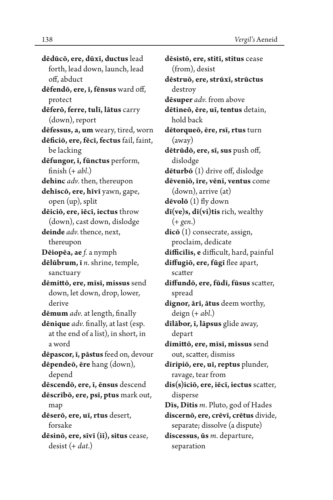| dēdūcō, ere, dūxī, ductus lead          |
|-----------------------------------------|
| forth, lead down, launch, lead          |
| off, abduct                             |
| dēfendō, ere, i, fēnsus ward off,       |
| protect                                 |
| dēferō, ferre, tulī, lātus carry        |
| (down), report                          |
| dēfessus, a, um weary, tired, worn      |
| dēficio, ere, fēcī, fectus fail, faint, |
| be lacking                              |
| defungor, i, functus perform,           |
| finish $(+ abl.)$                       |
| dehinc adv. then, thereupon             |
| dehīscō, ere, hīvī yawn, gape,          |
| open (up), split                        |
| dēiciō, ere, iēcī, iectus throw         |
| (down), cast down, dislodge             |
| deinde adv. thence, next,               |
| thereupon                               |
| Dēiopēa, ae f. a nymph                  |
| dēlūbrum, ī n. shrine, temple,          |
| sanctuary                               |
| dēmittō, ere, mīsī, missus send         |
| down, let down, drop, lower,            |
| derive                                  |
| dēmum adv. at length, finally           |
| dēnique adv. finally, at last (esp.     |
| at the end of a list), in short, in     |
| a word                                  |
| dēpascor, i, pāstus feed on, devour     |
| dēpendeō, ēre hang (down),              |
| depend                                  |
| dēscendō, ere, ī, ēnsus descend         |
| dēscrībō, ere, psī, ptus mark out,      |
| map                                     |
| dēserō, ere, uī, rtus desert,           |
| forsake                                 |
| dēsinō, ere, sīvī (iī), situs cease,    |
| desist $(+$ dat.)                       |

**dēsistō, ere, stitī, stitus** cease (from), desist **dēstruō, ere, strūxī, strūctus** destroy **dēsuper** *adv.* from above **dētineō, ēre, uī, tentus** detain, hold back **dētorqueō, ēre, rsī, rtus** turn (away) dētrūdō, ere, sī, sus push off, dislodge **dēturbō** (1) drive off, dislodge **dēveniō, īre, vēnī, ventus** come (down), arrive (at) **dēvolō** (1) fly down **dī(ve)s, dī(vi)tis** rich, wealthy (+ *gen*.) **dicō** (1) consecrate, assign, proclaim, dedicate difficilis, e difficult, hard, painful diffugiō, ere, fūgī flee apart, scatter **diff undō, ere, fūdī, fūsus** scatt er, spread **dignor, ārī, ātus** deem worthy, deign (+ *abl*.) **dīlābor, ī, lāpsus** glide away, depart **dīmitt ō, ere, mīsī, mīssus** send out, scatter, dismiss **dīripiō, ere, uī, reptus** plunder, ravage, tear from dis(s)iciō, ere, iēcī, iectus scatter, disperse **Dīs, Dītis** *m*. Pluto, god of Hades **discernō, ere, crēvī, crētus** divide, separate; dissolve (a dispute) **discessus, ūs** *m.* departure, separation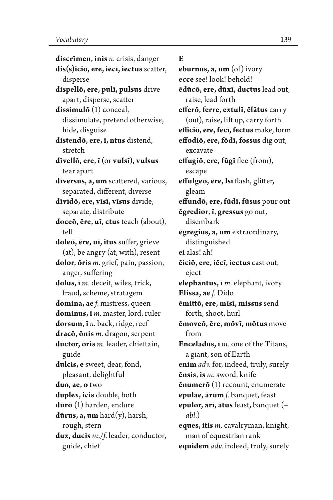**discrīmen, inis** *n.* crisis, danger **dis(s)iciō, ere, iēcī, iectus** scatter, disperse **dispellō, ere, pulī, pulsus** drive apart, disperse, scatter **dissimulō** (1) conceal, dissimulate, pretend otherwise, hide, disguise **distendō, ere, ī, ntus** distend, stretch **dīvellō, ere, ī (**or **vulsī), vulsus** tear apart diversus, a, um scattered, various, separated, different, diverse **dīvidō, ere, vīsī, vīsus** divide, separate, distribute **doceō, ēre, uī, ctus** teach (about), tell **doleō, ēre, uī, itus** suffer, grieve (at), be angry (at, with), resent **dolor, ōris** *m.* grief, pain, passion, anger, suffering **dolus, ī** *m.* deceit, wiles, trick, fraud, scheme, stratagem **domina, ae** *f*. mistress, queen **dominus, ī** *m.* master, lord, ruler **dorsum, ī** *n.* back, ridge, reef **dracō, ōnis** *m.* dragon, serpent **ductor, õris** *m*. leader, chieftain, guide **dulcis, e** sweet, dear, fond, pleasant, delightful **duo, ae, o** two **duplex, icis** double, both **dūrō** (1) harden, endure **dūrus, a, um** hard(y), harsh, rough, stern **dux, ducis** *m*./*f*. leader, conductor, guide, chief

## **E**

**eburnus, a, um** (of) ivory **ecce** see! look! behold! **ēdūcō, ere, dūxī, ductus** lead out, raise, lead forth **eff erō, ferre, extulī, ēlātus** carry (out), raise, lift up, carry forth **effi ciō, ere, fēcī, fectus** make, form **eff odiō, ere, fōdī, fossus** dig out, excavate **effugiō, ere, fūgī** flee (from), escape **effulgeō, ēre, lsī** flash, glitter, gleam **eff undō, ere, fūdī, fūsus** pour out **ēgredior, ī, gressus** go out, disembark **ēgregius, a, um** extraordinary, distinguished **ei** alas! ah! **ēiciō, ere, iēcī, iectus** cast out, eject **elephantus, ī** *m.* elephant, ivory **Elissa, ae** *f.* Dido **ēmitt ō, ere, mīsī, missus** send forth, shoot, hurl **ēmoveō, ēre, mōvī, mōtus** move from **Enceladus, ī** *m.* one of the Titans, a giant, son of Earth **enim** *adv.* for, indeed, truly, surely **ēnsis, is** *m.* sword, knife **ēnumerō** (1) recount, enumerate **epulae, ārum** *f.* banquet, feast **epulor, ārī, ātus** feast, banquet (+ *abl*.) **eques, itis** *m.* cavalryman, knight, man of equestrian rank **equidem** *adv.* indeed, truly, surely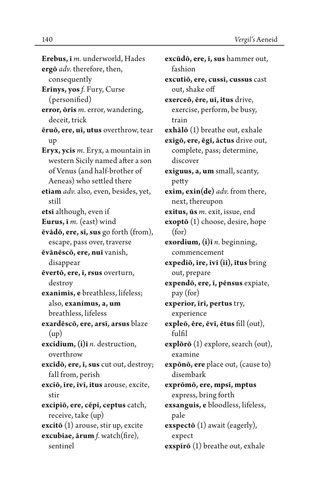**Erebus, ī** *m.* underworld, Hades **ergō** *adv.* therefore, then, consequently **Erīnys, yos***f.* Fury, Curse (personified) **error, ōris** *m.* error, wandering, deceit, trick **ēruō, ere, uī, utus** overthrow, tear up **Eryx, ycis** *m.* Eryx, a mountain in western Sicily named after a son of Venus (and half-brother of Aeneas) who settled there **etiam** *adv.* also, even, besides, yet, still **etsī** although, even if **Eurus, ī** *m.* (east) wind **ēvādō, ere, sī, sus** go forth (from), escape, pass over, traverse **ēvānēscō, ere, nuī** vanish, disappear **ēvertō, ere, ī, rsus** overturn, destroy **exanimis, e** breathless, lifeless; also, **exanimus, a, um** breathless, lifeless **exardēscō, ere, arsī, arsus** blaze (up) **excidium, (i)ī** *n.* destruction, overthrow **excīdō, ere, ī, sus** cut out, destroy; fall from, perish **exciō, īre, īvī, itus** arouse, excite, stir **excipiō, ere, cēpī, ceptus** catch, receive, take (up) **excitō** (1) arouse, stir up, excite **excubiae, ārum** *f.* watch(fire), sentinel

**excūdō, ere, ī, sus** hammer out, fashion **excutiō, ere, cussī, cussus** cast out, shake off **exerceō, ēre, uī, itus** drive, exercise, perform, be busy, train **exhālō** (1) breathe out, exhale **exigō, ere, ēgī, āctus** drive out, complete, pass; determine, discover **exiguus, a, um** small, scanty, petty **exim, exin(de)** *adv.* from there, next, thereupon **exitus, ūs** *m.* exit, issue, end **exoptō** (1) choose, desire, hope (for) **exordium, (i)ī** *n.* beginning, commencement **expediō, īre, īvī (iī), ītus** bring out, prepare **expendō, ere, ī, pēnsus** expiate, pay (for) **experior, īrī, pertus** try, experience **expleō, ēre, ēvī, ētus** fill (out), fulfil **explōrō** (1) explore, search (out), examine **expōnō, ere** place out, (cause to) disembark **exprōmō, ere, mpsī, mptus** express, bring forth **exsanguis, e** bloodless, lifeless, pale **exspectō** (1) await (eagerly), expect **exspīrō** (1) breathe out, exhale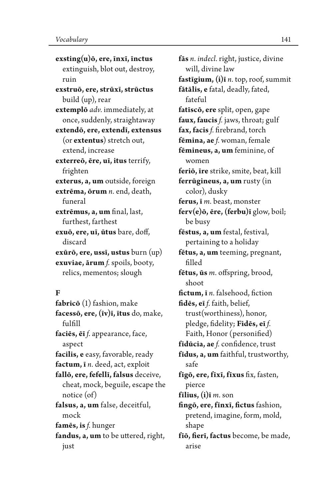**exsting(u)ō, ere, īnxī, īnctus** extinguish, blot out, destroy, ruin **exstruō, ere, strūxī, strūctus** build (up), rear **extemplō** *adv.* immediately, at once, suddenly, straightaway **extendō, ere, extendī, extensus** (or **extentus**) stretch out, extend, increase **exterreō, ēre, uī, itus** terrify, frighten **exterus, a, um** outside, foreign **extrēma, ōrum** *n.* end, death, funeral extrēmus, a, um final, last, furthest, farthest **exuō, ere, uī, ūtus** bare, doff, discard **exūrō, ere, ussī, ustus** burn (up) **exuviae, ārum** *f.* spoils, booty, relics, mementos; slough

# **F**

**fabricō** (1) fashion, make **facessō, ere, (īv)ī, ītus** do, make, fulfill **faciēs, ēī** *f*. appearance, face, aspect **facilis, e** easy, favorable, ready **factum, ī** *n.* deed, act, exploit **fallō, ere, fefellī, falsus** deceive, cheat, mock, beguile, escape the notice (of) **falsus, a, um** false, deceitful, mock **famēs, is***f.* hunger **fandus, a, um** to be uttered, right, just

**fās** *n. indecl.* right, justice, divine will, divine law **fastīgium, (i)ī** *n.* top, roof, summit **fātālis, e** fatal, deadly, fated, fateful **fatīscō, ere** split, open, gape **faux, faucis***f.* jaws, throat; gulf fax, facis *f.* firebrand, torch **fēmina, ae** *f.* woman, female **fēmineus, a, um** feminine, of women **feriō, īre** strike, smite, beat, kill **ferrūgineus, a, um** rusty (in color), dusky **ferus, ī** *m.* beast, monster **ferv(e)ō, ēre, (ferbu)ī** glow, boil; be busy **fēstus, a, um** festal, festival, pertaining to a holiday **fētus, a, um** teeming, pregnant, fi lled **fētus, ūs** *m*. offspring, brood, shoot fictum, in. falsehood, fiction **fi dēs, eī** *f.* faith, belief, trust(worthiness), honor, pledge, fi delity; **Fidēs, eī** *f.* Faith, Honor (personified) fidūcia, ae *f.* confidence, trust **fīdus, a, um** faithful, trustworthy, safe **fīgō, ere, fīxī, fīxus** fix, fasten, pierce **fīlius, (i)ī** *m.* son fingō, ere, finxi, fictus fashion, pretend, imagine, form, mold, shape fiō, fieri, factus become, be made, arise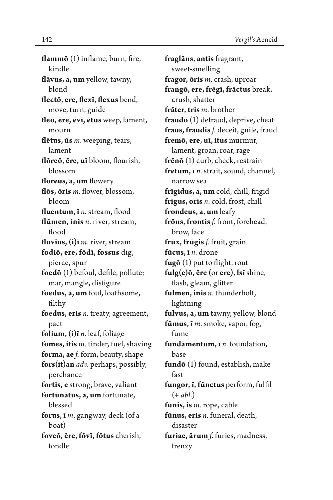**flammō** (1) inflame, burn, fire, kindle **fl āvus, a, um** yellow, tawny, blond flectō, ere, flexi, flexus bend, move, turn, guide **fl eō, ēre, ēvī, ētus** weep, lament, mourn **fl ētus, ūs** *m.* weeping, tears, lament **floreo, ēre, uī** bloom, flourish, blossom **floreus, a, um** flowery **flos, oris** *m*. flower, blossom, bloom **fluentum, i** *n*. stream, flood **fl ūmen, inis** *n.* river, stream, flood **fl uvius, (i)ī** *m*. river, stream **fodiō, ere, fōdī, fossus** dig, pierce, spur **foedō** (1) befoul, defile, pollute; mar, mangle, disfigure **foedus, a, um** foul, loathsome, filthy **foedus, eris** *n.* treaty, agreement, pact **folium, (i)ī** *n.* leaf, foliage **fōmes, itis** *m.* tinder, fuel, shaving **forma, ae** *f.* form, beauty, shape **fors(it)an** *adv.* perhaps, possibly, perchance **fortis, e** strong, brave, valiant **fortūnātus, a, um** fortunate, blessed **forus, ī** *m*. gangway, deck (of a boat) **foveō, ēre, fōvī, fōtus** cherish, fondle

**fraglāns, antis** fragrant, sweet-smelling **fragor, ōris** *m.* crash, uproar **frangō, ere, frēgī, frāctus** break, crush, shatter **frāter, tris** *m.* brother **fraudō** (1) defraud, deprive, cheat **fraus, fraudis***f.* deceit, guile, fraud **fremō, ere, uī, itus** murmur, lament, groan, roar, rage **frēnō** (1) curb, check, restrain **fretum, ī** *n.* strait, sound, channel, narrow sea **frīgidus, a, um** cold, chill, frigid **frigus, oris** *n*. cold, frost, chill **frondeus, a, um** leafy **frōns, frontis***f.* front, forehead, brow, face **frūx, frūgis***f.* fruit, grain **fūcus, ī** *n.* drone fugō (1) put to flight, rout **fulg(e)ō, ēre (**or **ere), lsī** shine, flash, gleam, glitter **fulmen, inis** *n.* thunderbolt, lightning **fulvus, a, um** tawny, yellow, blond **fūmus, ī** *m.* smoke, vapor, fog, fume **fundāmentum, ī** *n.* foundation, base **fundō** (1) found, establish, make fast fungor, *i*, functus perform, fulfil (+ *abl.*) **fūnis, is** *m.* rope, cable **fūnus, eris** *n.* funeral, death, disaster **furiae, ārum** *f.* furies, madness, frenzy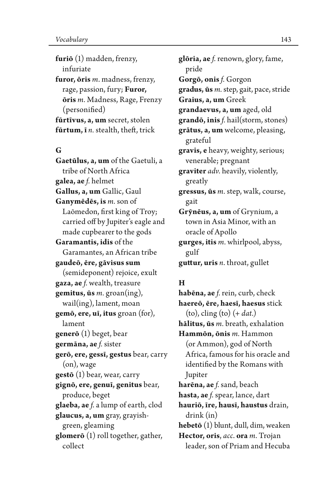**furiō** (1) madden, frenzy, infuriate **furor, ōris** *m*. madness, frenzy, rage, passion, fury; **Furor, ōris** *m.* Madness, Rage, Frenzy (personified) **fūrtīvus, a, um** secret, stolen **fūrtum, ī** *n*. stealth, theft, trick **G Gaetūlus, a, um** of the Gaetuli, a tribe of North Africa **galea, ae** *f.* helmet **Gallus, a, um** Gallic, Gaul **Ganymēdēs, is** *m.* son of Laōmedon, first king of Troy; carried off by Jupiter's eagle and made cupbearer to the gods **Garamantis, idis** of the Garamantes, an African tribe **gaudeō, ēre, gāvisus sum** (semideponent) rejoice, exult **gaza, ae** *f.* wealth, treasure **gemitus, ūs** *m.* groan(ing), wail(ing), lament, moan **gemō, ere, uī, itus** groan (for), lament **generō** (1) beget, bear **germāna, ae** *f.* sister **gerō, ere, gessī, gestus** bear, carry (on), wage **gestō** (1) bear, wear, carry **gignō, ere, genuī, genitus** bear, produce, beget **glaeba, ae** *f*. a lump of earth, clod **glaucus, a, um** gray, grayishgreen, gleaming **glomerō** (1) roll together, gather, collect

**glōria, ae** *f.* renown, glory, fame, pride **Gorgō, onis***f.* Gorgon **gradus, ūs** *m.* step, gait, pace, stride **Graius, a, um** Greek **grandaevus, a, um** aged, old **grandō, inis***f.* hail(storm, stones) **grātus, a, um** welcome, pleasing, grateful **gravis, e** heavy, weighty, serious; venerable; pregnant **graviter** *adv.* heavily, violently, greatly **gressus, ūs** *m.* step, walk, course, gait **Grȳnēus, a, um** of Grynium, a town in Asia Minor, with an oracle of Apollo **gurges, itis** *m.* whirlpool, abyss, gulf

**gutt ur, uris** *n*. throat, gullet

## **H**

**habēna, ae** *f.* rein, curb, check **haereō, ēre, haesī, haesus** stick (to), cling (to) (+ *dat.*) **hālitus, ūs** *m.* breath, exhalation **Hammōn, ōnis** *m.* Hammon (or Ammon), god of North Africa, famous for his oracle and identified by the Romans with Jupiter **harēna, ae** *f.* sand, beach **hasta, ae** *f*. spear, lance, dart **hauriō, īre, hausī, haustus** drain, drink (in) **hebetō** (1) blunt, dull, dim, weaken **Hector, oris**, *acc*. **ora** *m*. Trojan leader, son of Priam and Hecuba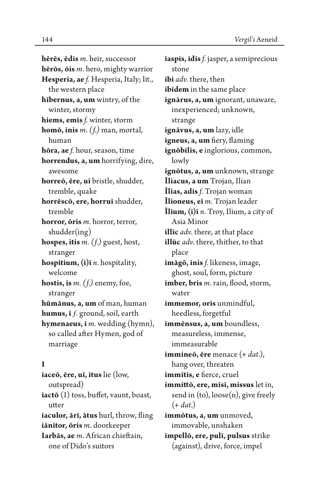**hērēs, ēdis** *m.* heir, successor **hērōs, ōis** *m*. hero, mighty warrior **Hesperia, ae** *f.* Hesperia, Italy; lit., the western place **hībernus, a, um** wintry, of the winter, stormy **hiems, emis***f.* winter, storm **homō, inis** *m. (f.)* man, mortal, human **hōra, ae** *f.* hour, season, time **horrendus, a, um** horrifying, dire, awesome **horreō, ēre, uī** bristle, shudder, tremble, quake **horrēscō, ere, horruī** shudder, tremble **horror, ōris** *m.* horror, terror, shudder(ing) **hospes, itis** *m. (f.)* guest, host, stranger **hospitium, (i)ī** *n.* hospitality, welcome **hostis, is** *m. (f.)* enemy, foe, stranger **hūmānus, a, um** of man, human **humus, ī** *ƒ*. ground, soil, earth **hymenaeus, ī** *m.* wedding (hymn), so called after Hymen, god of marriage **I**

**iaceō, ēre, uī, itus** lie (low, outspread) **iacto** (1) toss, buffet, vaunt, boast, utter **iaculor, ārī, ātus** hurl, throw, fling **iānitor, ōris** *m*. doorkeeper Iarbās, ae *m.* African chieftain, one of Dido's suitors

**iaspis, idis***f.* jasper, a semiprecious stone **ibi** *adv.* there, then **ibīdem** in the same place **ignārus, a, um** ignorant, unaware, inexperienced; unknown, strange **ignāvus, a, um** lazy, idle **igneus, a, um** fiery, flaming **ignōbilis, e** inglorious, common, lowly **ignōtus, a, um** unknown, strange **Īliacus, a um** Trojan, Ilian **Īlias, adis***f.* Trojan woman **Īlioneus, eī** *m.* Trojan leader **Īlium, (i)ī** *n.* Troy, Ilium, a city of Asia Minor **illīc** *adv.* there, at that place **illūc** *adv.* there, thither, to that place **imāgō, inis***f.* likeness, image, ghost, soul, form, picture **imber, bris** *m*. rain, flood, storm, water **immemor, oris** unmindful, heedless, forgetful **immēnsus, a, um** boundless, measureless, immense, immeasurable **immineō, ēre** menace (+ *dat.*), hang over, threaten immitis, e fierce, cruel **immitt ō, ere, mīsī, missus** let in, send in (to), loose(n), give freely (+ *dat*.) **immōtus, a, um** unmoved, immovable, unshaken **impellō, ere, pulī, pulsus** strike (against), drive, force, impel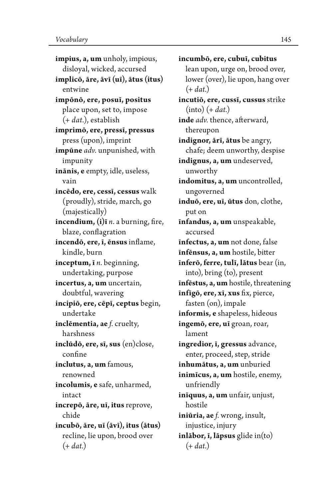**impius, a, um** unholy, impious, disloyal, wicked, accursed **implicō, āre, āvī (uī), ātus (itus)** entwine **impōnō, ere, posuī, positus** place upon, set to, impose (+ *dat*.), establish **imprimō, ere, pressī, pressus** press (upon), imprint **impūne** *adv.* unpunished, with impunity **inānis, e** empty, idle, useless, vain **incēdo, ere, cessī, cessus** walk (proudly), stride, march, go (majestically) incendium, (i)i *n*. a burning, fire, blaze, conflagration incendō, ere, ī, ēnsus inflame, kindle, burn **inceptum, ī** *n.* beginning, undertaking, purpose **incertus, a, um** uncertain, doubtful, wavering **incipiō, ere, cēpī, ceptus** begin, undertake **inclēmentia, ae** *f.* cruelty, harshness **inclūdō, ere, sī, sus** (en)close, confine **inclutus, a, um** famous, renowned **incolumis, e** safe, unharmed, intact **increpō, āre, uī, itus** reprove, chide **incubō, āre, uī (āvī), itus (ātus)** recline, lie upon, brood over (+ *dat.*)

**incumbō, ere, cubuī, cubitus** lean upon, urge on, brood over, lower (over), lie upon, hang over (+ *dat.*) **incutiō, ere, cussī, cussus** strike (into) (+ *dat.*) **inde** *adv*. thence, afterward, thereupon **indignor, ārī, ātus** be angry, chafe; deem unworthy, despise **indignus, a, um** undeserved, unworthy **indomitus, a, um** uncontrolled, ungoverned **induō, ere, uī, ūtus** don, clothe, put on **īnfandus, a, um** unspeakable, accursed **īnfectus, a, um** not done, false *infēnsus, a, um* hostile, bitter **īnferō, ferre, tulī, lātus** bear (in, into), bring (to), present **īnfēstus, a, um** hostile, threatening **infigō, ere, xī, xus** fix, pierce, fasten (on), impale **informis, e** shapeless, hideous **ingemō, ere, uī** groan, roar, lament **ingredior, ī, gressus** advance, enter, proceed, step, stride **inhumātus, a, um** unburied **inimīcus, a, um** hostile, enemy, unfriendly **inīquus, a, um** unfair, unjust, hostile **iniūria, ae** *f.* wrong, insult, injustice, injury **inlābor, ī, lāpsus** glide in(to) (+ *dat*.)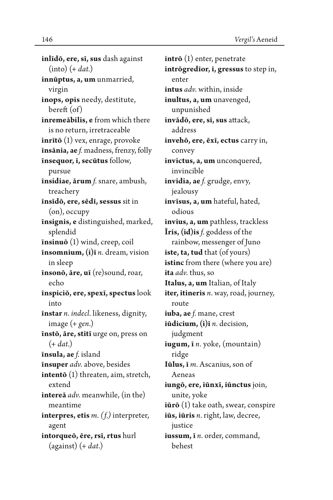**inlīdō, ere, sī, sus** dash against (into) (+ *dat.*) **innūptus, a, um** unmarried, virgin **inops, opis** needy, destitute, bereft (of) **inremeābilis, e** from which there is no return, irretraceable **inrītō** (1) vex, enrage, provoke **īnsānia, ae** *f.* madness, frenzy, folly **īnsequor, ī, secūtus** follow, pursue **īnsidiae, ārum** *f.* snare, ambush, treachery **īnsīdō, ere, sēdī, sessus** sit in (on), occupy **īnsignis, e** distinguished, marked, splendid **īnsinuō** (1) wind, creep, coil **īnsomnium, (i)ī** *n.* dream, vision in sleep **īnsonō, āre, uī** (re)sound, roar, echo **īnspiciō, ere, spexī, spectus** look into **īnstar** *n. indecl.* likeness, dignity, image (+ *gen*.) **īnstō, āre, stitī** urge on, press on (+ *dat*.) **īnsula, ae** *f.* island **īnsuper** *adv.* above, besides **intentō** (1) threaten, aim, stretch, extend **intereā** *adv.* meanwhile, (in the) meantime **interpres, etis** *m. (f.)* interpreter, agent **intorqueō, ēre, rsī, rtus** hurl (against) (+ *dat*.)

**intrō** (1) enter, penetrate **intrōgredīor, ī, gressus** to step in, enter **intus** *adv.* within, inside **inultus, a, um** unavenged, unpunished **invādō, ere, sī, sus** attack, address **invehō, ere, ēxī, ectus** carry in, convey **invictus, a, um** unconquered, invincible **invidia, ae** *f.* grudge, envy, jealousy **invīsus, a, um** hateful, hated, odious **invius, a, um** pathless, trackless **Īris, (id)is***f.* goddess of the rainbow, messenger of Juno **iste, ta, tud** that (of yours) **istinc** from there (where you are) **ita** *adv.* thus, so **Italus, a, um** Italian, of Italy **iter, itineris** *n*. way, road, journey, route **iuba, ae** *f.* mane, crest **iūdicium, (i)ī** *n.* decision, judgment **iugum, ī** *n.* yoke, (mountain) ridge **Iūlus, ī** *m.* Ascanius, son of Aeneas **iungō, ere, iūnxī, iūnctus** join, unite, yoke **iūrō** (1) take oath, swear, conspire **iūs, iūris** *n.* right, law, decree, justice **iussum, ī** *n.* order, command, behest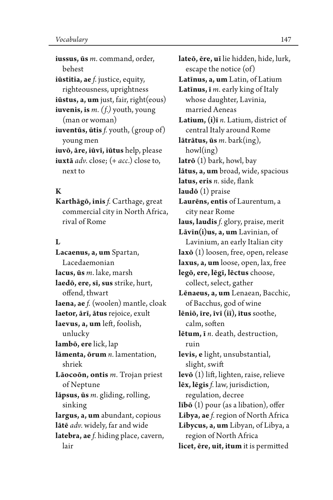**iussus, ūs** *m.* command, order, behest **iūstitia, ae** *f*. justice, equity, righteousness, uprightness **iūstus, a, um** just, fair, right(eous) **iuvenis, is** *m. (f.)* youth, young (man or woman) **iuventūs, ūtis** *f.* youth, (group of) young men **iuvō, āre, iūvī, iūtus** help, please **iuxtā** *adv.* close; (+ *acc*.) close to, next to

## **K**

**Karthāgō, inis** *f.* Carthage, great commercial city in North Africa, rival of Rome

#### **L**

**Lacaenus, a, um** Spartan, Lacedaemonian **lacus, ūs** *m*. lake, marsh **laedō, ere, sī, sus** strike, hurt, offend, thwart **laena, ae** *f.* (woolen) mantle, cloak **laetor, ārī, ātus** rejoice, exult **laevus, a, um** left, foolish, unlucky **lambō, ere** lick, lap **lāmenta, ōrum** *n.* lamentation, shriek **Lāocoōn, ontis** *m.* Trojan priest of Neptune **lāpsus, ūs** *m.* gliding, rolling, sinking **largus, a, um** abundant, copious **lātē** *adv.* widely, far and wide **latebra, ae** *f.* hiding place, cavern, lair

**lateō, ēre, uī** lie hidden, hide, lurk, escape the notice (of) **Latīnus, a, um** Latin, of Latium **Latīnus, ī** *m.* early king of Italy whose daughter, Lavinia, married Aeneas **Latium, (i)ī** *n.* Latium, district of central Italy around Rome **lātrātus, ūs** *m*. bark(ing), howl(ing) **latrō** (1) bark, howl, bay **lātus, a, um** broad, wide, spacious **latus, eris** *n*. side, flank **laudō** (1) praise **Laurēns, entis** of Laurentum, a city near Rome **laus, laudis***f.* glory, praise, merit **Lāvīn(i)us, a, um** Lavinian, of Lavinium, an early Italian city **laxō** (1) loosen, free, open, release **laxus, a, um** loose, open, lax, free **legō, ere, lēgī, lēctus** choose, collect, select, gather **Lēnaeus, a, um** Lenaean, Bacchic, of Bacchus, god of wine **lēniō, īre, īvī (iī), ītus** soothe, calm, soften **lētum, ī** *n.* death, destruction, ruin **levis, e** light, unsubstantial, slight, swift **levō** (1) lift, lighten, raise, relieve **lēx, lēgis** *f.* law, jurisdiction, regulation, decree **lībō** (1) pour (as a libation), offer **Libya, ae** *f.* region of North Africa **Libycus, a, um** Libyan, of Libya, a region of North Africa **licet, ēre, uit, itum** it is permitted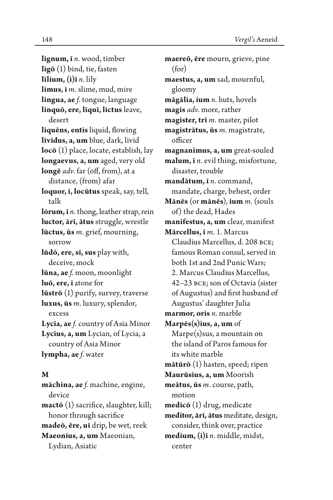**lignum, ī** *n.* wood, timber **ligō** (1) bind, tie, fasten **līlium, (i)ī** *n.* lily **limus, ī** *m*. slime, mud, mire **lingua, ae** *f.* tongue, language **linquō, ere, līquī, lictus** leave, desert **līquēns, entis** liquid, flowing **līvidus, a, um** blue, dark, livid **locō** (1) place, locate, establish, lay **longaevus, a, um** aged, very old **longē** *adv*. far (off, from), at a distance, (from) afar **loquor, ī, locūtus** speak, say, tell, talk **lōrum, ī** *n.* thong, leather strap, rein **luctor, ārī, ātus** struggle, wrestle **lūctus, ūs** *m.* grief, mourning, sorrow **lūdō, ere, sī, sus** play with, deceive, mock **lūna, ae** *f.* moon, moonlight **luō, ere, ī** atone for **lūstrō** (1) purify, survey, traverse **luxus, ūs** *m.* luxury, splendor, excess **Lycia, ae** *f.* country of Asia Minor **Lycius, a, um** Lycian, of Lycia, a country of Asia Minor **lympha, ae** *f.* water

## **M**

**māchina, ae** *f.* machine, engine, device mactō<sup>(1)</sup> sacrifice, slaughter, kill; honor through sacrifice **madeō, ēre, uī** drip, be wet, reek **Maeonius, a, um** Maeonian, Lydian, Asiatic

**maereō, ēre** mourn, grieve, pine (for) **maestus, a, um** sad, mournful, gloomy **māgālia, ium** *n.* huts, hovels **magis** *adv*. more, rather **magister, trī** *m.* master, pilot **magistrātus, ūs** *m.* magistrate, officer **magnanimus, a, um** great-souled **malum, ī** *n*. evil thing, misfortune, disaster, trouble **mandātum, ī** *n*. command, mandate, charge, behest, order **Mānēs** (or **mānēs**), **ium** *m.* (souls of) the dead, Hades **manifestus, a, um** clear, manifest **Mārcellus, ī** *m*. 1. Marcus Claudius Marcellus, d. 208 bce; famous Roman consul, served in both 1st and 2nd Punic Wars; 2. Marcus Claudius Marcellus, 42–23 bce; son of Octavia (sister of Augustus) and first husband of Augustus' daughter Julia **marmor, oris** *n.* marble **Marpēs(s)ius, a, um** of Marpe(s)sus, a mountain on the island of Paros famous for its white marble **mātūrō** (1) hasten, speed; ripen **Maurūsius, a, um** Moorish **meātus, ūs** *m.* course, path, motion **medicō** (1) drug, medicate **meditor, ārī, ātus** meditate, design, consider, think over, practice **medium, (i)ī** *n*. middle, midst, center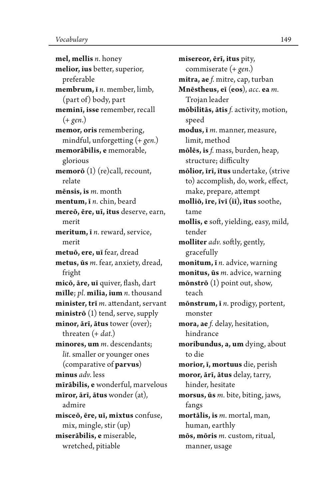**mel, mellis** *n.* honey **melior, ius** better, superior, preferable **membrum, ī** *n.* member, limb, (part of) body, part **meminī, isse** remember, recall (+ *gen*.) **memor, oris** remembering, mindful, unforgetting (+ gen.) **memorābilis, e** memorable, glorious **memorō** (1) (re)call, recount, relate **mēnsis, is** *m.* month **mentum, ī** *n.* chin, beard **mereō, ēre, uī, itus** deserve, earn, merit **meritum, ī** *n.* reward, service, merit **metuō, ere, uī** fear, dread **metus, ūs** *m.* fear, anxiety, dread, fright **micō, āre, uī** quiver, flash, dart **mīlle**; *pl.* **mīlia, ium** *n.* thousand **minister, trī** *m*. attendant, servant **ministrō** (1) tend, serve, supply **minor, ārī, ātus** tower (over); threaten (+ *dat.*) **minores, um** *m*. descendants; *lit.* smaller or younger ones (comparative of **parvus**) **minus** *adv.* less **mīrābilis, e** wonderful, marvelous **mīror, ārī, ātus** wonder (at), admire **misceō, ēre, uī, mixtus** confuse, mix, mingle, stir (up) **miserābilis, e** miserable, wretched, pitiable

**misereor, ērī, itus** pity, commiserate (+ *gen*.) **mitra, ae** *f.* mitre, cap, turban **Mnēstheus, eī** (**eos**), *acc*. **ea** *m.*  Trojan leader **mōbilitās, ātis***f.* activity, motion, speed **modus, ī** *m.* manner, measure, limit, method **mōlēs, is** *f.* mass, burden, heap, structure; difficulty **mōlior, īrī, ītus** undertake, (strive to) accomplish, do, work, effect, make, prepare, attempt **molliō, īre, īvī (iī), ītus** soothe, tame **mollis, e** soft, yielding, easy, mild, tender **molliter** *adv*. softly, gently, gracefully **monitum, ī** *n.* advice, warning **monitus, ūs** *m.* advice, warning **mōnstrō** (1) point out, show, teach **mōnstrum, ī** *n.* prodigy, portent, monster **mora, ae** *f.* delay, hesitation, hindrance **moribundus, a, um** dying, about to die **morior, ī, mortuus** die, perish **moror, ārī, ātus** delay, tarry, hinder, hesitate **morsus, ūs** *m.* bite, biting, jaws, fangs **mortālis, is** *m.* mortal, man, human, earthly **mōs, mōris** *m.* custom, ritual, manner, usage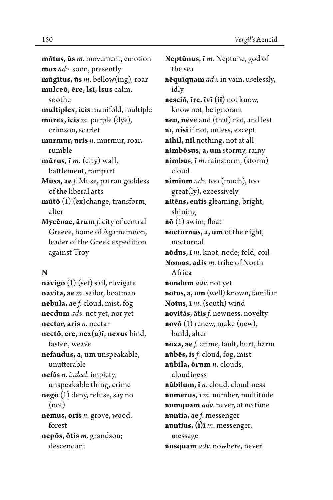**mōtus, ūs** *m.* movement, emotion **mox** *adv.* soon, presently **mūgītus, ūs** *m.* bellow(ing), roar **mulceō, ēre, lsī, lsus** calm, soothe **multiplex, icis** manifold, multiple **mūrex, icis** *m.* purple (dye), crimson, scarlet **murmur, uris** *n.* murmur, roar, rumble **mūrus, ī** *m.* (city) wall, batt lement, rampart **Mūsa, ae** *f.* Muse, patron goddess of the liberal arts **mūtō** (1) (ex)change, transform, alter **Mycēnae, ārum** *f.* city of central Greece, home of Agamemnon, leader of the Greek expedition against Troy

# **N**

**nāvigō** (1) (set) sail, navigate **nāvita, ae** *m*. sailor, boatman **nebula, ae** *f.* cloud, mist, fog **necdum** *adv.* not yet, nor yet **nectar, aris** *n.* nectar **nectō, ere, nex(u)ī, nexus** bind, fasten, weave **nefandus, a, um** unspeakable, unutterable **nefās** *n. indecl.* impiety, unspeakable thing, crime **negō** (1) deny, refuse, say no (not) **nemus, oris** *n.* grove, wood, forest **nepōs, ōtis** *m.* grandson; descendant

**Neptūnus, ī** *m.* Neptune, god of the sea **nēquīquam** *adv.* in vain, uselessly, idly **nesciō, īre, īvī (iī)** not know, know not, be ignorant **neu, nēve** and (that) not, and lest **nī, nisi** if not, unless, except **nihil, nīl** nothing, not at all **nimbōsus, a, um** stormy, rainy **nimbus, ī** *m.* rainstorm, (storm) cloud **nimium** *adv.* too (much), too great(ly), excessively **nitēns, entis** gleaming, bright, shining  $\overline{\mathbf{n}}\overline{\mathbf{o}}$  (1) swim, float **nocturnus, a, um** of the night, nocturnal **nōdus, ī** *m.* knot, node; fold, coil **Nomas, adis** *m.* tribe of North Africa **nōndum** *adv.* not yet **nōtus, a, um** (well) known, familiar **Notus, ī** *m.* (south) wind **novitās, ātis***f.* newness, novelty **novō** (1) renew, make (new), build, alter **noxa, ae** *f.* crime, fault, hurt, harm **nūbēs, is***f.* cloud, fog, mist **nūbila, ōrum** *n.* clouds, cloudiness **nūbilum, ī** *n.* cloud, cloudiness **numerus, ī** *m.* number, multitude **numquam** *adv.* never, at no time **nuntia, ae** *f.* messenger **nuntius, (i)ī** *m.* messenger, message **nūsquam** *adv.* nowhere, never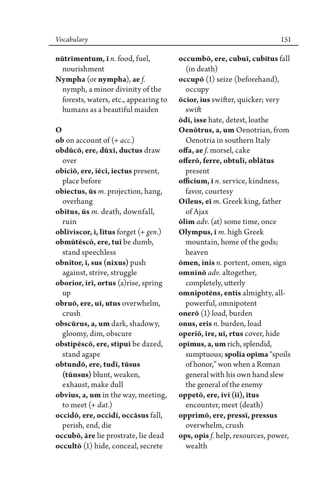**nūtrīmentum, ī** *n.* food, fuel,

nourishment **Nympha** (or **nympha**), **ae** *f.*  nymph, a minor divinity of the forests, waters, etc., appearing to humans as a beautiful maiden **O ob** on account of (+ *acc*.) **obdūcō, ere, dūxī, ductus** draw over **obiciō, ere, iēcī, iectus** present, place before **obiectus, ūs** *m.* projection, hang, overhang **obitus, ūs** *m.* death, downfall, ruin **oblīviscor, ī, lītus** forget (+ *gen*.) **obmūtēscō, ere, tuī** be dumb, stand speechless **obnītor, ī, sus (nixus)** push against, strive, struggle **oborior, īrī, ortus** (a)rise, spring up **obruō, ere, uī, utus** overwhelm, crush **obscūrus, a, um** dark, shadowy, gloomy, dim, obscure **obstipēscō, ere, stipuī** be dazed, stand agape **obtundō, ere, tudī, tūsus (tūnsus)** blunt, weaken, exhaust, make dull **obvius, a, um** in the way, meeting, to meet (+ *dat*.) **occidō, ere, occidī, occāsus** fall, perish, end, die **occubō, āre** lie prostrate, lie dead **occultō** (1) hide, conceal, secrete

**occumbō, ere, cubuī, cubitus** fall (in death) **occupō** (1) seize (beforehand), occupy *öcior, ius* swifter, quicker; very swift **ōdī, isse** hate, detest, loathe **Oenōtrus, a, um** Oenotrian, from Oenotria in southern Italy **off a, ae** *f*. morsel, cake **off erō, ferre, obtulī, oblātus** present **officium, i** *n*. service, kindness, favor, courtesy **Oīleus, eī** *m.* Greek king, father of Ajax **ōlim** *adv*. (at) some time, once **Olympus, ī** *m.* high Greek mountain, home of the gods; heaven **ōmen, inis** *n.* portent, omen, sign **omnīnō** *adv.* altogether, completely, utterly **omnipotēns, entis** almighty, allpowerful, omnipotent **onerō** (1) load, burden **onus, eris** *n.* burden, load **operiō, īre, uī, rtus** cover, hide **opīmus, a, um** rich, splendid, sumptuous; **spolia opīma** "spoils of honor," won when a Roman general with his own hand slew the general of the enemy **oppetō, ere, īvī (iī), ītus** encounter, meet (death) **opprimō, ere, pressī, pressus** overwhelm, crush **ops, opis** *f.* help, resources, power, wealth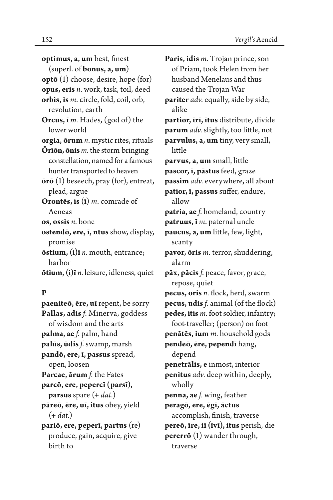**optimus, a, um** best, finest (superl. of **bonus, a, um**) **optō** (1) choose, desire, hope (for) **opus, eris** *n*. work, task, toil, deed **orbis, is** *m.* circle, fold, coil, orb, revolution, earth **Orcus, ī** *m.* Hades, (god of) the lower world **orgia, ōrum** *n.* mystic rites, rituals **Ōrīōn, ōnis** *m.* the storm-bringing constellation, named for a famous hunter transported to heaven **ōrō** (1) beseech, pray (for), entreat, plead, argue **Orontēs, is** (**ī**) *m.* comrade of Aeneas **os, ossis** *n.* bone **ostendō, ere, ī, ntus** show, display, promise **ōstium, (i)ī** *n.* mouth, entrance; harbor **ōtium, (i)ī** *n.* leisure, idleness, quiet

## **P**

**paeniteō, ēre, uī** repent, be sorry **Pallas, adis** *f.* Minerva, goddess of wisdom and the arts **palma, ae** *f.* palm, hand **palūs, ūdis***f*. swamp, marsh **pandō, ere, ī, passus** spread, open, loosen **Parcae, ārum** *f.* the Fates **parcō, ere, pepercī (parsī), parsus** spare (+ *dat*.) **pāreō, ēre, uī, itus** obey, yield (+ *dat.*) **pariō, ere, peperī, partus** (re) produce, gain, acquire, give birth to

**Paris, idis** *m.* Trojan prince, son of Priam, took Helen from her husband Menelaus and thus caused the Trojan War **pariter** *adv.* equally, side by side, alike **partior, īrī, ītus** distribute, divide parum *adv*. slightly, too little, not **parvulus, a, um** tiny, very small, little parvus, a, um small, little **pascor, ī, pāstus** feed, graze **passim** *adv.* everywhere, all about patior, i, passus suffer, endure, allow **patria, ae** *f.* homeland, country **patruus, ī** *m*. paternal uncle paucus, a, um little, few, light, scanty **pavor, ōris** *m.* terror, shuddering, alarm **pāx, pācis***f.* peace, favor, grace, repose, quiet **pecus, oris** *n*. flock, herd, swarm **pecus, udis** *f*. animal (of the flock) **pedes, itis** *m.* foot soldier, infantry; foot-traveller; (person) on foot **penātēs, ium** *m.* household gods **pendeō, ēre, pependī** hang, depend **penetrālis, e** inmost, interior **penitus** *adv.* deep within, deeply, wholly **penna, ae** *f.* wing, feather **peragō, ere, ēgī, āctus** accomplish, finish, traverse **pereō, īre, iī (īvī), itus** perish, die **pererrō** (1) wander through, traverse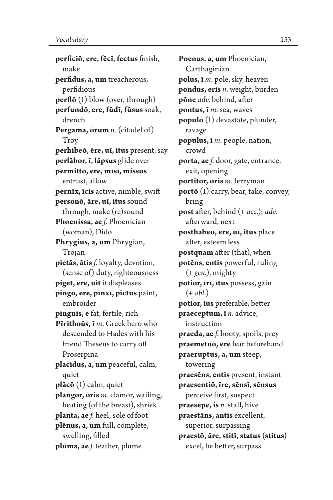**perficiō, ere, fēcī, fectus** finish, make perfidus, a, um treacherous, perfidious **perflo** (1) blow (over, through) **perfundō, ere, fūdī, fūsus** soak, drench **Pergama, ōrum** *n.* (citadel of) Troy **perhibeō, ēre, uī, itus** present, say **perlābor, ī, lāpsus** glide over **permitt ō, ere, mīsī, missus** entrust, allow **pernīx, īcis** active, nimble, swift **personō, āre, uī, itus** sound through, make (re)sound **Phoenissa, ae** *f.* Phoenician (woman), Dido **Phrygius, a, um** Phrygian, Trojan **pietās, ātis***f.* loyalty, devotion, (sense of) duty, righteousness **piget, ēre, uit** it displeases **pingō, ere, pīnxī, pictus** paint, embroider **pinguis, e** fat, fertile, rich **Pīrithoüs, ī** *m*. Greek hero who descended to Hades with his friend Theseus to carry off Proserpina **placidus, a, um** peaceful, calm, quiet **plācō** (1) calm, quiet **plangor, ōris** *m.* clamor, wailing, beating (of the breast), shriek **planta, ae** *f.* heel; sole of foot **plēnus, a, um** full, complete, swelling, filled **plūma, ae** *f.* feather, plume

**Poenus, a, um** Phoenician, Carthaginian **polus, ī** *m.* pole, sky, heaven **pondus, eris** *n.* weight, burden **pōne** *adv*. behind, after **pontus, ī** *m.* sea, waves **populō** (1) devastate, plunder, ravage **populus, ī** *m.* people, nation, crowd **porta, ae** *f.* door, gate, entrance, exit, opening **portitor, ōris** *m*. ferryman **portō** (1) carry, bear, take, convey, bring **post** after, behind (+ *acc*.); *adv*. afterward, next **posthabeō, ēre, uī, itus** place after, esteem less **postquam** after (that), when **potēns, entis** powerful, ruling (+ *gen.*), mighty **potior, īrī, ītus** possess, gain (+ *abl*.) **potior, ius** preferable, better **praeceptum, ī** *n.* advice, instruction **praeda, ae** *f.* booty, spoils, prey **praemetuō, ere** fear beforehand **praeruptus, a, um** steep, towering **praesēns, entis** present, instant **praesentiō, īre, sēnsī, sēnsus** perceive first, suspect **praesēpe, is** *n.* stall, hive **praestāns, antis** excellent, superior, surpassing **praestō, āre, stitī, status (stitus)** excel, be better, surpass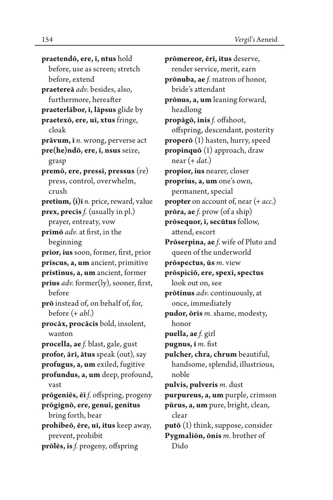| praetendō, ere, ī, ntus hold           |
|----------------------------------------|
| before, use as screen; stretch         |
| before, extend                         |
| praetereā adv. besides, also,          |
| furthermore, hereafter                 |
| praeterlābor, ī, lāpsus glide by       |
| praetexō, ere, uī, xtus fringe,        |
| cloak                                  |
| prāvum, ī n. wrong, perverse act       |
| pre(he)ndō, ere, ī, nsus seize,        |
| grasp                                  |
| premō, ere, pressī, pressus (re)       |
| press, control, overwhelm,             |
| crush                                  |
| pretium, (i) i n. price, reward, value |
| prex, precis f. (usually in pl.)       |
| prayer, entreaty, vow                  |
| prīmō adv. at first, in the            |
| beginning                              |
| prior, ius soon, former, first, prior  |
| priscus, a, um ancient, primitive      |
| pristinus, a, um ancient, former       |
| prius adv. former(ly), sooner, first,  |
| before                                 |
| prō instead of, on behalf of, for,     |
| before (+ abl.)                        |
| procāx, procācis bold, insolent,       |
| wanton                                 |
| procella, ae f. blast, gale, gust      |
| profor, ārī, ātus speak (out), say     |
| profugus, a, um exiled, fugitive       |
| profundus, a, um deep, profound,       |
| vast                                   |
| prōgeniēs, ēī f. offspring, progeny    |
| prōgignō, ere, genuī, genitus          |
| bring forth, bear                      |
| prohibeō, ēre, uī, itus keep away,     |
| prevent, prohibit                      |
| prōlēs, is f. progeny, offspring       |

**prōmereor, ērī, itus** deserve, render service, merit, earn **prōnuba, ae** *f.* matron of honor, bride's att endant **prōnus, a, um** leaning forward, headlong **propāgō, inis** *f.* offshoot, offspring, descendant, posterity **properō** (1) hasten, hurry, speed **propinquō** (1) approach, draw near (+ *dat*.) **propior, ius** nearer, closer **proprius, a, um** one's own, permanent, special **propter** on account of, near (+ *acc*.) **prōra, ae** *f.* prow (of a ship) **prōsequor, ī, secūtus** follow, attend, escort **Prōserpina, ae** *f*. wife of Pluto and queen of the underworld **prōspectus, ūs** *m.* view **prōspiciō, ere, spexī, spectus** look out on, see **prōtinus** *adv.* continuously, at once, immediately **pudor, ōris** *m.* shame, modesty, honor **puella, ae** *f.* girl **pugnus, ī** *m.* fist **pulcher, chra, chrum** beautiful, handsome, splendid, illustrious, noble **pulvis, pulveris** *m.* dust **purpureus, a, um** purple, crimson **pūrus, a, um** pure, bright, clean, clear **putō** (1) think, suppose, consider **Pygmaliōn, ōnis** *m.* brother of Dido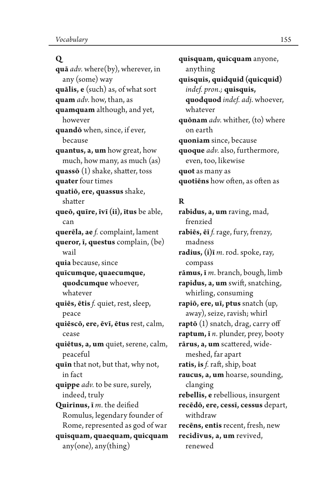## **Q**

**quā** *adv.* where(by), wherever, in any (some) way **quālis, e** (such) as, of what sort **quam** *adv.* how, than, as **quamquam** although, and yet, however **quandō** when, since, if ever, because **quantus, a, um** how great, how much, how many, as much (as) **quassō** (1) shake, shatter, toss **quater** four times **quatiō, ere, quassus** shake, shatter **queō, quīre, īvī (iī), ītus** be able, can **querēla, ae** *f.* complaint, lament **queror, ī, questus** complain, (be) wail **quia** because, since **quīcumque, quaecumque, quodcumque** whoever, whatever **quiēs, ētis***f.* quiet, rest, sleep, peace **quiēscō, ere, ēvī, ētus** rest, calm, cease **quiētus, a, um** quiet, serene, calm, peaceful **quīn** that not, but that, why not, in fact **quippe** *adv.* to be sure, surely, indeed, truly **Quirīnus, ī** *m*. the deified Romulus, legendary founder of Rome, represented as god of war **quisquam, quaequam, quicquam** any(one), any(thing)

**quisquam, quicquam** anyone, anything **quisquis, quidquid (quicquid)** *indef. pron.;* **quisquis, quodquod** *indef. adj*. whoever, whatever **quōnam** *adv.* whither, (to) where on earth **quoniam** since, because **quoque** *adv.* also, furthermore, even, too, likewise **quot** as many as **quotiens** how often, as often as

## **R**

**rabidus, a, um** raving, mad, frenzied **rabiēs, ēī** *f.* rage, fury, frenzy, madness **radius, (i)ī** *m.* rod. spoke, ray, compass **rāmus, ī** *m*. branch, bough, limb rapidus, a, um swift, snatching, whirling, consuming **rapiō, ere, uī, ptus** snatch (up, away), seize, ravish; whirl **raptō** (1) snatch, drag, carry off **raptum, ī** *n.* plunder, prey, booty **rārus, a, um** scattered, widemeshed, far apart **ratis, is***f.* raft , ship, boat **raucus, a, um** hoarse, sounding, clanging **rebellis, e** rebellious, insurgent **recēdō, ere, cessī, cessus** depart, withdraw **recēns, entis** recent, fresh, new **recidīvus, a, um** revived, renewed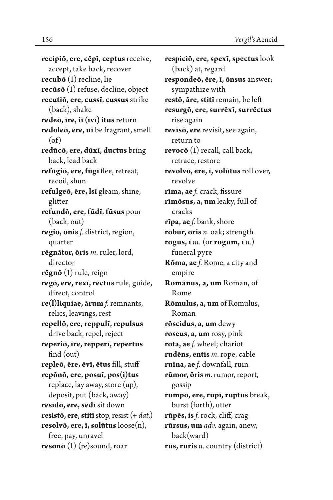**recipiō, ere, cēpī, ceptus** receive, accept, take back, recover **recubō** (1) recline, lie **recūsō** (1) refuse, decline, object **recutiō, ere, cussī, cussus** strike (back), shake **redeō, īre, iī (īvī) itus** return **redoleō, ēre, uī** be fragrant, smell (of) **redūcō, ere, dūxī, ductus** bring back, lead back refugiō, ere, fūgī flee, retreat, recoil, shun **refulgeō, ēre, lsī** gleam, shine, glitter **refundō, ere, fūdī, fūsus** pour (back, out) **regiō, ōnis***f.* district, region, quarter **rēgnātor, ōris** *m.* ruler, lord, director **rēgnō** (1) rule, reign **regō, ere, rēxī, rēctus** rule, guide, direct, control **re(l)liquiae, ārum** *f.* remnants, relics, leavings, rest **repellō, ere, reppulī, repulsus** drive back, repel, reject **reperiō, īre, repperī, repertus** find  $(out)$ repleō, ēre, ēvī, ētus fill, stuff **repōnō, ere, posuī, pos(i)tus** replace, lay away, store (up), deposit, put (back, away) **resīdō, ere, sēdī** sit down **resistō, ere, stitī** stop, resist (+ *dat*.) **resolvō, ere, ī, solūtus** loose(n), free, pay, unravel **resonō** (1) (re)sound, roar

**respiciō, ere, spexī, spectus** look (back) at, regard **respondeō, ēre, ī, ōnsus** answer; sympathize with **restō, āre, stitī** remain, be left **resurgō, ere, surrēxī, surrēctus** rise again **revīsō, ere** revisit, see again, return to **revocō** (1) recall, call back, retrace, restore **revolvō, ere, ī, volūtus** roll over, revolve **rīma, ae** *f.* crack, fissure **rīmōsus, a, um** leaky, full of cracks **rīpa, ae** *f.* bank, shore **rōbur, oris** *n*. oak; strength **rogus, ī** *m.* (or **rogum, ī** *n.*) funeral pyre **Rōma, ae** *f.* Rome, a city and empire **Rōmānus, a, um** Roman, of Rome **Rōmulus, a, um** of Romulus, Roman **rōscidus, a, um** dewy **roseus, a, um** rosy, pink **rota, ae** *f.* wheel; chariot **rudēns, entis** *m.* rope, cable **ruīna, ae** *f.* downfall, ruin **rūmor, ōris** *m.* rumor, report, gossip **rumpō, ere, rūpī, ruptus** break, burst (forth), utter rūpēs, is *f.* rock, cliff, crag **rūrsus, um** *adv.* again, anew, back(ward) **rūs, rūris** *n.* country (district)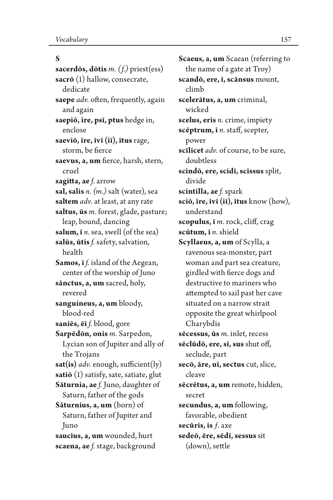## **S**

**sacerdōs, dōtis** *m. (f.)* priest(ess) **sacrō** (1) hallow, consecrate, dedicate **saepe** *adv*. often, frequently, again and again **saepiō, īre, psī, ptus** hedge in, enclose **saeviō, īre, īvī (iī), ītus** rage, storm, be fierce saevus, a, um fierce, harsh, stern, cruel **sagitt a, ae** *f.* arrow **sal, salis** *n. (m.)* salt (water), sea **saltem** *adv.* at least, at any rate **saltus, ūs** *m.* forest, glade, pasture; leap, bound, dancing **salum, ī** *n.* sea, swell (of the sea) **salūs, ūtis***f*. safety, salvation, health **Samos, ī** *f.* island of the Aegean, center of the worship of Juno **sānctus, a, um** sacred, holy, revered **sanguineus, a, um** bloody, blood-red **saniēs, ēī** *f.* blood, gore **Sarpēdōn, onis** *m.* Sarpedon, Lycian son of Jupiter and ally of the Trojans **sat(is)** *adv.* enough, sufficient(ly) **satiō** (1) satisfy, sate, satiate, glut **Sāturnia, ae** *f.* Juno, daughter of Saturn, father of the gods **Sāturnius, a, um** (born) of Saturn, father of Jupiter and Juno **saucius, a, um** wounded, hurt **scaena, ae** *f.* stage, background

**Scaeus, a, um** Scaean (referring to the name of a gate at Troy) **scandō, ere, ī, scānsus** mount, climb **scelerātus, a, um** criminal, wicked **scelus, eris** *n.* crime, impiety **scēptrum, ī** *n*. staff, scepter, power **scīlicet** *adv.* of course, to be sure, doubtless **scindō, ere, scidī, scissus** split, divide **scintilla, ae** *f.* spark **sciō, īre, īvī (iī), ītus** know (how), understand scopulus, i m. rock, cliff, crag **scūtum, ī** *n.* shield **Scyllaeus, a, um** of Scylla, a ravenous sea-monster, part woman and part sea creature, girdled with fierce dogs and destructive to mariners who attempted to sail past her cave situated on a narrow strait opposite the great whirlpool Charybdis **sēcessus, ūs** *m.* inlet, recess **sēclūdō, ere, sī, sus** shut off, seclude, part **secō, āre, uī, sectus** cut, slice, cleave **sēcrētus, a, um** remote, hidden, secret **secundus, a, um** following, favorable, obedient **secūris, is** *ƒ*. axe **sedeō, ēre, sēdī, sessus** sit (down), settle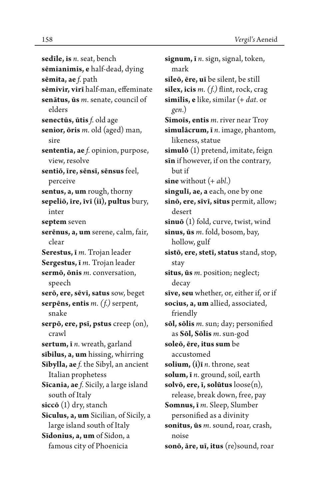**sedīle, is** *n.* seat, bench **sēmianimis, e** half-dead, dying **sēmita, ae** *f.* path sēmivir, virī half-man, effeminate **senātus, ūs** *m.* senate, council of elders **senectūs, ūtis***f*. old age **senior, ōris** *m.* old (aged) man, sire **sententia, ae** *f.* opinion, purpose, view, resolve **sentiō, īre, sēnsī, sēnsus** feel, perceive **sentus, a, um** rough, thorny **sepeliō, īre, īvī (iī), pultus** bury, inter **septem** seven **serēnus, a, um** serene, calm, fair, clear **Serestus, ī** *m.* Trojan leader **Sergestus, ī** *m.* Trojan leader **sermō, ōnis** *m.* conversation, speech **serō, ere, sēvī, satus** sow, beget **serpēns, entis** *m. (f.)* serpent, snake **serpō, ere, psī, pstus** creep (on), crawl **sertum, ī** *n.* wreath, garland **sībilus, a, um** hissing, whirring **Sibylla, ae** *f.* the Sibyl, an ancient Italian prophetess **Sīcania, ae** *f.* Sicily, a large island south of Italy **siccō** (1) dry, stanch **Siculus, a, um** Sicilian, of Sicily, a large island south of Italy **Sīdonius, a, um** of Sidon, a famous city of Phoenicia

**signum, ī** *n.* sign, signal, token, mark **sileō, ēre, uī** be silent, be still  $\mathbf{silex}, \mathbf{icis} \ m. \ (f.) \text{ flint}, \text{rock}, \text{crag}$ **similis, e** like, similar (+ *dat.* or *gen.*) **Simoīs, entis** *m.* river near Troy **simulācrum, ī** *n.* image, phantom, likeness, statue **simulō** (1) pretend, imitate, feign **sīn** if however, if on the contrary, but if **sine** without (+ *abl*.) **singulī, ae, a** each, one by one **sinō, ere, sīvī, situs** permit, allow; desert **sinuō** (1) fold, curve, twist, wind **sinus, ūs** *m*. fold, bosom, bay, hollow, gulf **sistō, ere, stetī, status** stand, stop, stay **situs, ūs** *m.* position; neglect; decay **sīve, seu** whether, or, either if, or if **socius, a, um** allied, associated, friendly **sōl, sōlis** *m*. sun; day; personified as **Sōl, Sōlis** *m*. sun-god **soleō, ēre, itus sum** be accustomed **solium, (i)ī** *n.* throne, seat **solum, ī** *n.* ground, soil, earth **solvō, ere, ī, solūtus** loose(n), release, break down, free, pay **Somnus, ī** *m.* Sleep, Slumber personified as a divinity **sonitus, ūs** *m.* sound, roar, crash, noise **sonō, āre, uī, itus** (re)sound, roar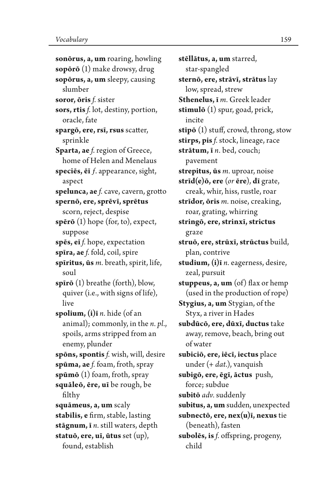| sonōrus, a, um roaring, howling                                                                 | stēllātı |
|-------------------------------------------------------------------------------------------------|----------|
| sopōrō (1) make drowsy, drug                                                                    | star-s   |
| sopōrus, a, um sleepy, causing                                                                  | sternō   |
| slumber                                                                                         | low, s   |
| soror, ōris f. sister                                                                           | Sthene   |
| sors, rtis f. lot, destiny, portion,                                                            | stimul   |
| oracle, fate                                                                                    | incit    |
| spargō, ere, rsī, rsus scatter,                                                                 | stīpō (  |
| sprinkle                                                                                        | stirps,  |
| <b>Sparta, ae</b> f. region of Greece,                                                          | strātui  |
| home of Helen and Menelaus                                                                      | pave     |
| speciēs, ēī f. appearance, sight,                                                               | strepit  |
| aspect                                                                                          | strīd(e  |
| <b>spelunca, ae</b> f. cave, cavern, grotto                                                     | creak    |
| spernō, ere, sprēvī, sprētus                                                                    | strīdoı  |
| scorn, reject, despise                                                                          | roar,    |
| $\mathbf{s}\mathbf{p}$ ērō $(1)$ hope (for, to), expect,                                        | stringd  |
| suppose                                                                                         | graze    |
| $\mathbf{s}$ pēs, eī $f$ . hope, expectation                                                    | struō,   |
| spīra, ae f. fold, coil, spire                                                                  | plan,    |
| spīritus, ūs m. breath, spirit, life,                                                           | studiu:  |
| soul                                                                                            | zeal,    |
| $\mathbf{spir\bar{o}}\left(1\right)\mathbf{breather}\left(\mathbf{forth}\right),\mathbf{blow},$ | stuppe   |
| quiver (i.e., with signs of life),                                                              | (usec    |
| live                                                                                            | Stygiu   |
| spolium, (i)ī <i>n</i> . hide (of an                                                            | Styx,    |
| animal); commonly, in the <i>n</i> . <i>pl.</i> ,                                               | subdūo   |
| spoils, arms stripped from an                                                                   | away     |
| enemy, plunder                                                                                  | of wa    |
| spōns, spontis f. wish, will, desire                                                            | subicio  |
| spūma, ae f. foam, froth, spray                                                                 | unde     |
| spūmō (1) foam, froth, spray                                                                    | subigō   |
| squāleō, ēre, uī be rough, be                                                                   | force    |
| filthy                                                                                          | subitō   |
| squāmeus, a, um scaly                                                                           | subitus  |
| stabilis, e firm, stable, lasting                                                               | subnec   |
| stāgnum, ī n. still waters, depth                                                               | (ben     |
| ${\bf statu}$ ō, ere, uī, ūtus ${\rm set}\,({\rm up}),$                                         | subolē   |
| found, establish                                                                                | child    |

**us, a, um** starred, spangled **sternō, ere, strāvī, strātus** lay spread, strew **Sthenelus, ī** *m.* Greek leader  $\bar{\mathbf{o}}$  (1) spur, goad, prick, incite 1) stuff, crowd, throng, stow **stirps, pis** *f.* stock, lineage, race **m, ī** *n*. bed, couch; ment **strepitus, ūs** *m.* uproar, noise **strīd(e)ō, ere** (*or* **ēre**), **dī** grate, k, whir, hiss, rustle, roar **strīdor, ōris** *m.* noise, creaking, grating, whirring **stringō, ere, strinxī, strictus** graze **struō, ere, strūxī, strūctus** build, contrive **m, (i)ī** *n*. eagerness, desire, pursuit **:us, a, um** (of) flax or hemp d in the production of rope) **Stygius, a, um** Stygian, of the a river in Hades **cō, ere, dūxī, ductus** take , remove, beach, bring out ater  $\bar{p}$ , ere, iēcī, iectus place er (+ *dat*.), vanquish **subigō, ere, ēgī, āctus** push, ; subdue **subitō** *adv.* suddenly **s, a, um** sudden, unexpected **subnectō, ere, nex(u)ī, nexus** tie eath), fasten  $s$ , is *f.* offspring, progeny, child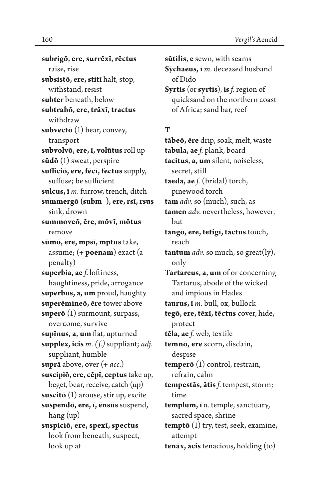| subrigō, ere, surrēxī, rēctus                   |
|-------------------------------------------------|
| raise, rise                                     |
| subsistō, ere, stitī halt, stop,                |
| withstand, resist                               |
| subter beneath, below                           |
| subtrahō, ere, trāxī, tractus                   |
| withdraw                                        |
| subvecto $(1)$ bear, convey,                    |
| transport                                       |
| subvolvō, ere, ī, volūtus roll up               |
| $s\bar{u}d\bar{o}$ (1) sweat, perspire          |
| sufficio, ere, feci, fectus supply,             |
| suffuse; be sufficient                          |
| sulcus, i m. furrow, trench, ditch              |
| summergō (subm-), ere, rsī, rsus                |
| sink, drown                                     |
| summoveō, ēre, mōvī, mōtus                      |
| remove                                          |
| sūmō, ere, mpsī, mptus take,                    |
| assume; (+ poenam) exact (a                     |
| penalty)                                        |
| superbia, ae f. loftiness,                      |
| haughtiness, pride, arrogance                   |
| superbus, a, um proud, haughty                  |
| superēmineō, ēre tower above                    |
| super $\bar{o}$ (1) surmount, surpass,          |
| overcome, survive                               |
| supinus, a, um flat, upturned                   |
| supplex, icis $m. (f.)$ suppliant; <i>adj</i> . |
| suppliant, humble                               |
| suprā above, over $(+ac.)$                      |
| suscipiō, ere, cēpī, ceptus take up,            |
| beget, bear, receive, catch (up)                |
| suscitō (1) arouse, stir up, excite             |
| suspendō, ere, i, ēnsus suspend,                |
| hang (up)                                       |
| suspicio, ere, spexi, spectus                   |
| look from beneath, suspect,                     |
| look up at                                      |

**sūtilis, e** sewn, with seams **Sȳchaeus, ī** *m.* deceased husband of Dido **Syrtis** (or **syrtis**), **is***f.* region of quicksand on the northern coast

of Africa; sand bar, reef

#### **T**

**tābeō, ēre** drip, soak, melt, waste **tabula, ae** *f.* plank, board **tacitus, a, um** silent, noiseless, secret, still **taeda, ae** *f.* (bridal) torch, pinewood torch **tam** *adv.* so (much), such, as **tamen** *adv.* nevertheless, however, but **tangō, ere, tetigī, tāctus** touch, reach **tantum** *adv.* so much, so great(ly), only **Tartareus, a, um** of or concerning Tartarus, abode of the wicked and impious in Hades **taurus, ī** *m.* bull, ox, bullock **tegō, ere, tēxī, tēctus** cover, hide, protect **tēla, ae** *f.* web, textile **temnō, ere** scorn, disdain, despise **temperō** (1) control, restrain, refrain, calm **tempestās, ātis***f.* tempest, storm; time **templum, ī** *n.* temple, sanctuary, sacred space, shrine **temptō** (1) try, test, seek, examine, attempt **tenāx, ācis** tenacious, holding (to)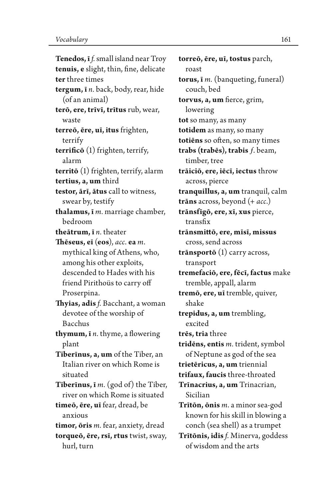**Tenedos, ī** *f.* small island near Troy **tenuis, e** slight, thin, fine, delicate **ter** three times **tergum, ī** *n.* back, body, rear, hide (of an animal) **terō, ere, trīvī, trītus** rub, wear, waste **terreō, ēre, uī, itus** frighten, terrify **terrifico** (1) frighten, terrify, alarm **territō** (1) frighten, terrify, alarm **tertius, a, um** third **testor, ārī, ātus** call to witness, swear by, testify **thalamus, ī** *m.* marriage chamber, bedroom **theātrum, ī** *n.* theater **Th ēseus, eī** (**eos**), *acc*. **ea** *m*. mythical king of Athens, who, among his other exploits, descended to Hades with his friend Pirithoüs to carry off Proserpina. **Th yias, adis***f.* Bacchant, a woman devotee of the worship of Bacchus **thymum, i** *n*. thyme, a flowering plant **Tiberīnus, a, um** of the Tiber, an Italian river on which Rome is situated **Tiberīnus, ī** *m.* (god of) the Tiber, river on which Rome is situated **timeō, ēre, uī** fear, dread, be anxious **timor, ōris** *m.* fear, anxiety, dread **torqueō, ēre, rsī, rtus** twist, sway, hurl, turn

**torreō, ēre, uī, tostus** parch, roast **torus, ī** *m.* (banqueting, funeral) couch, bed **torvus, a, um** fierce, grim, lowering **tot** so many, as many **totidem** as many, so many totiens so often, so many times **trabs (trabēs), trabis** *ƒ*. beam, timber, tree **trāiciō, ere, iēcī, iectus** throw across, pierce **tranquillus, a, um** tranquil, calm **trāns** across, beyond (+ *acc*.) **trānsfīgō, ere, xī, xus** pierce, transfix **trānsmitt ō, ere, mīsī, missus** cross, send across **trānsportō** (1) carry across, transport **tremefaciō, ere, fēcī, factus** make tremble, appall, alarm **tremō, ere, uī** tremble, quiver, shake **trepidus, a, um** trembling, excited **trēs, tria** three **tridēns, entis** *m.* trident, symbol of Neptune as god of the sea **trietēricus, a, um** triennial **trifaux, faucis** three-throated **Trīnacrius, a, um** Trinacrian, Sicilian **Trītōn, ōnis** *m*. a minor sea-god known for his skill in blowing a conch (sea shell) as a trumpet **Trītōnis, idis***f.* Minerva, goddess of wisdom and the arts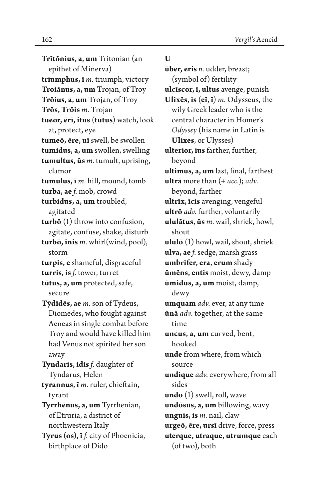**Trītōnius, a, um** Tritonian (an epithet of Minerva) **triumphus, ī** *m.* triumph, victory **Troiānus, a, um** Trojan, of Troy **Trōius, a, um** Trojan, of Troy **Trōs, Trōis** *m.* Trojan **tueor, ērī, itus** (**tūtus**) watch, look at, protect, eye **tumeō, ēre, uī** swell, be swollen **tumidus, a, um** swollen, swelling **tumultus, ūs** *m.* tumult, uprising, clamor **tumulus, ī** *m.* hill, mound, tomb **turba, ae** *f.* mob, crowd **turbidus, a, um** troubled, agitated **turbō** (1) throw into confusion, agitate, confuse, shake, disturb **turbō, inis** *m.* whirl(wind, pool), storm **turpis, e** shameful, disgraceful **turris, is***f.* tower, turret **tūtus, a, um** protected, safe, secure **Tȳdīdēs, ae** *m.* son of Tydeus, Diomedes, who fought against Aeneas in single combat before Troy and would have killed him had Venus not spirited her son away **Tyndaris, idis***f*. daughter of Tyndarus, Helen **tyrannus, ī** *m*. ruler, chieftain, tyrant **Tyrrhēnus, a, um** Tyrrhenian, of Etruria, a district of northwestern Italy **Tyrus (os), ī** *f.* city of Phoenicia, birthplace of Dido

**U ūber, eris** *n.* udder, breast; (symbol of) fertility **ulcīscor, ī, ultus** avenge, punish **Ulixēs, is** (**eī, ī**) *m.* Odysseus, the wily Greek leader who is the central character in Homer's *Odyssey* (his name in Latin is **Ulixes**, or Ulysses) **ulterior, ius** farther, further, beyond **ultimus, a, um** last, final, farthest **ultrā** more than (+ *acc*.); *adv*. beyond, farther **ultrīx, īcis** avenging, vengeful **ultrō** *adv.* further, voluntarily **ululātus, ūs** *m.* wail, shriek, howl, shout **ululō** (1) howl, wail, shout, shriek **ulva, ae** *f*. sedge, marsh grass **umbrifer, era, erum** shady **ūmēns, entis** moist, dewy, damp **ūmidus, a, um** moist, damp, dewy **umquam** *adv.* ever, at any time **ūnā** *adv.* together, at the same time **uncus, a, um** curved, bent, hooked **unde** from where, from which source **undique** *adv.* everywhere, from all sides **undo** (1) swell, roll, wave **undōsus, a, um** billowing, wavy **unguis, is** *m.* nail, claw **urgeō, ēre, ursī** drive, force, press **uterque, utraque, utrumque** each (of two), both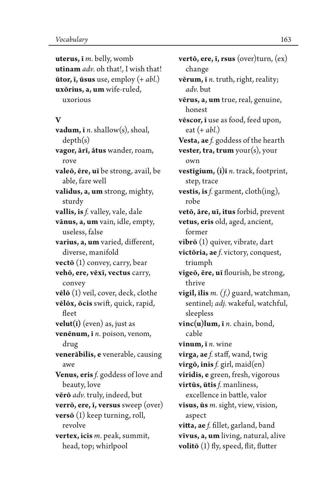**uterus, ī** *m.* belly, womb **utinam** *adv.* oh that!, I wish that! **ūtor, ī, ūsus** use, employ (+ *abl.*) **uxōrius, a, um** wife-ruled, uxorious

#### **V**

**vadum, ī** *n.* shallow(s), shoal, depth(s) **vagor, ārī, ātus** wander, roam, rove **valeō, ēre, uī** be strong, avail, be able, fare well **validus, a, um** strong, mighty, sturdy **vallis, is***f.* valley, vale, dale **vānus, a, um** vain, idle, empty, useless, false varius, a, um varied, different, diverse, manifold **vectō** (1) convey, carry, bear **vehō, ere, vēxī, vectus** carry, convey **vēlō** (1) veil, cover, deck, clothe **vēlōx, ōcis** swift, quick, rapid, fleet **velut(ī)** (even) as, just as **venēnum, ī** *n.* poison, venom, drug **venerābilis, e** venerable, causing awe **Venus, eris***f.* goddess of love and beauty, love **vērō** *adv.* truly, indeed, but **verrō, ere, ī, versus** sweep (over) **versō** (1) keep turning, roll, revolve **vertex, icis** *m.* peak, summit, head, top; whirlpool

**vertō, ere, ī, rsus** (over)turn, (ex) change **vērum, ī** *n.* truth, right, reality; *adv*. but **vērus, a, um** true, real, genuine, honest **vēscor, ī** use as food, feed upon, eat (*+ abl.*) **Vesta, ae** *f.* goddess of the hearth **vester, tra, trum** your(s), your own **vestīgium, (i)ī** *n*. track, footprint, step, trace **vestis, is***f.* garment, cloth(ing), robe **vetō, āre, uī, itus** forbid, prevent **vetus, eris** old, aged, ancient, former **vibrō** (1) quiver, vibrate, dart **victōria, ae** *f*. victory, conquest, triumph **vigeō, ēre, uī** flourish, be strong, thrive **vigil, īlis** *m. (f.)* guard, watchman, sentinel; *adj*. wakeful, watchful, sleepless **vinc(u)lum, ī** *n.* chain, bond, cable **vīnum, ī** *n.* wine **virga, ae** *f.* staff, wand, twig **virgō, inis***f.* girl, maid(en) **viridis, e** green, fresh, vigorous **virtūs, ūtis***f.* manliness, excellence in battle, valor **vīsus, ūs** *m.* sight, view, vision, aspect **vitt a, ae** *f.* fi llet, garland, band **vīvus, a, um** living, natural, alive **volitō** (1) fly, speed, flit, flutter